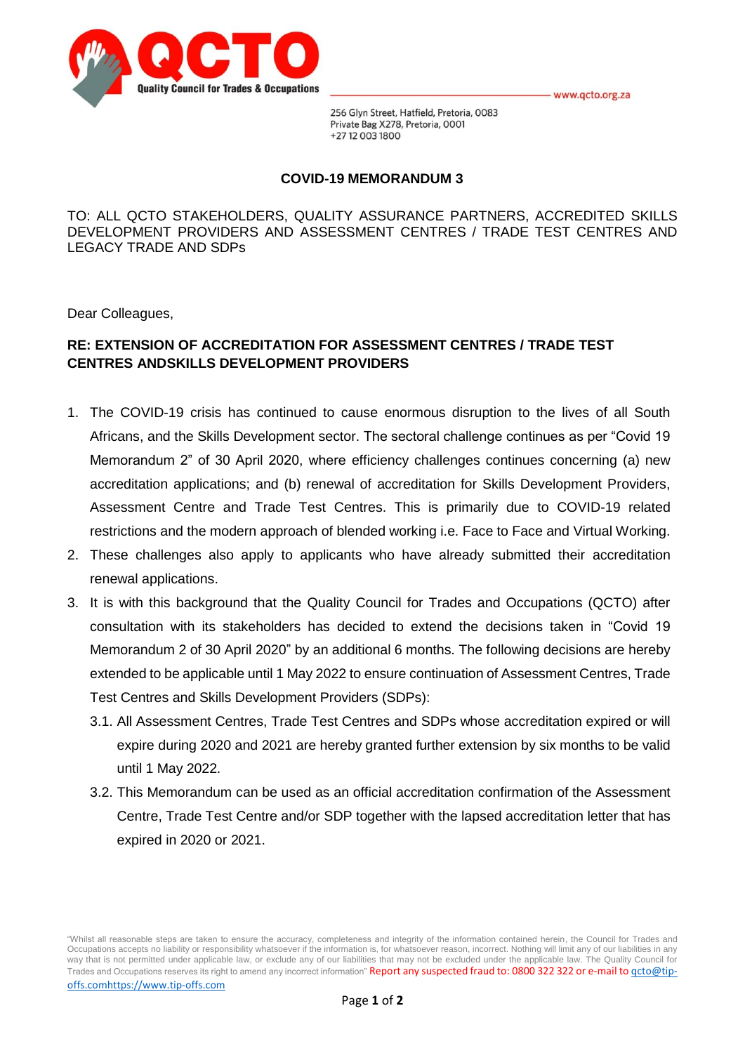



256 Glyn Street, Hatfield, Pretoria, 0083 Private Bag X278, Pretoria, 0001 +27 12 003 1800

## **COVID-19 MEMORANDUM 3**

TO: ALL QCTO STAKEHOLDERS, QUALITY ASSURANCE PARTNERS, ACCREDITED SKILLS DEVELOPMENT PROVIDERS AND ASSESSMENT CENTRES / TRADE TEST CENTRES AND LEGACY TRADE AND SDPs

Dear Colleagues,

## **RE: EXTENSION OF ACCREDITATION FOR ASSESSMENT CENTRES / TRADE TEST CENTRES ANDSKILLS DEVELOPMENT PROVIDERS**

- 1. The COVID-19 crisis has continued to cause enormous disruption to the lives of all South Africans, and the Skills Development sector. The sectoral challenge continues as per "Covid 19 Memorandum 2" of 30 April 2020, where efficiency challenges continues concerning (a) new accreditation applications; and (b) renewal of accreditation for Skills Development Providers, Assessment Centre and Trade Test Centres. This is primarily due to COVID-19 related restrictions and the modern approach of blended working i.e. Face to Face and Virtual Working.
- 2. These challenges also apply to applicants who have already submitted their accreditation renewal applications.
- 3. It is with this background that the Quality Council for Trades and Occupations (QCTO) after consultation with its stakeholders has decided to extend the decisions taken in "Covid 19 Memorandum 2 of 30 April 2020" by an additional 6 months. The following decisions are hereby extended to be applicable until 1 May 2022 to ensure continuation of Assessment Centres, Trade Test Centres and Skills Development Providers (SDPs):
	- 3.1. All Assessment Centres, Trade Test Centres and SDPs whose accreditation expired or will expire during 2020 and 2021 are hereby granted further extension by six months to be valid until 1 May 2022.
	- 3.2. This Memorandum can be used as an official accreditation confirmation of the Assessment Centre, Trade Test Centre and/or SDP together with the lapsed accreditation letter that has expired in 2020 or 2021.

"Whilst all reasonable steps are taken to ensure the accuracy, completeness and integrity of the information contained herein, the Council for Trades and Occupations accepts no liability or responsibility whatsoever if the information is, for whatsoever reason, incorrect. Nothing will limit any of our liabilities in any way that is not permitted under applicable law, or exclude any of our liabilities that may not be excluded under the applicable law. The Quality Council for Trades and Occupations reserves its right to amend any incorrect information" Report any suspected fraud to: 0800 322 322 or e-mail to gcto@tipoffs.comhttps://www.tip-offs.com